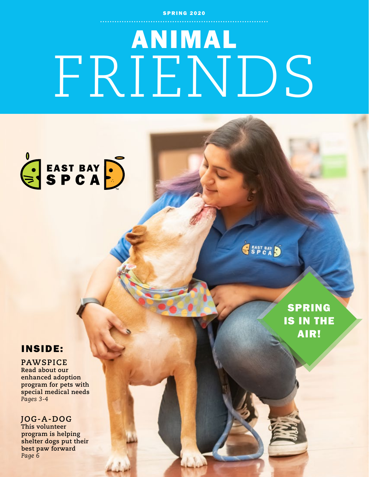**SPRING 2020** 

# ANIMAL FRIENDS



SSP CAD

## INSIDE:

### **PAWSPICE**

**Read about our enhanced adoption program for pets with special medical needs** *Pages 3-4*

### **JOG-A-DOG**

**This volunteer program is helping shelter dogs put their best paw forward** *Page 6*

SPRING IS IN THE AIR!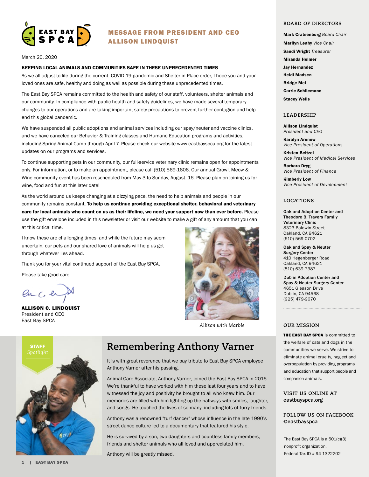

#### MESSAGE FROM PRESIDENT AND CEO ALLISON LINDQUIST

March 20, 2020

#### KEEPING LOCAL ANIMALS AND COMMUNITIES SAFE IN THESE UNPRECEDENTED TIMES

As we all adjust to life during the current COVID-19 pandemic and Shelter in Place order, I hope you and your loved ones are safe, healthy and doing as well as possible during these unprecedented times.

The East Bay SPCA remains committed to the health and safety of our staff, volunteers, shelter animals and our community. In compliance with public health and safety guidelines, we have made several temporary changes to our operations and are taking important safety precautions to prevent further contagion and help end this global pandemic.

We have suspended all public adoptions and animal services including our spay/neuter and vaccine clinics, and we have canceled our Behavior & Training classes and Humane Education programs and activities, including Spring Animal Camp through April 7. Please check our website www.eastbayspca.org for the latest updates on our programs and services.

To continue supporting pets in our community, our full-service veterinary clinic remains open for appointments only. For information, or to make an appointment, please call (510) 569-1606. Our annual Growl, Meow & Wine community event has been rescheduled from May 3 to Sunday, August. 16. Please plan on joining us for wine, food and fun at this later date!

As the world around us keeps changing at a dizzying pace, the need to help animals and people in our community remains constant. To help us continue providing exceptional shelter, behavioral and veterinary care for local animals who count on us as their lifeline, we need your support now than ever before. Please use the gift envelope included in this newsletter or visit our website to make a gift of any amount that you can at this critical time.

I know these are challenging times, and while the future may seem uncertain, our pets and our shared love of animals will help us get through whatever lies ahead.

Thank you for your vital continued support of the East Bay SPCA.

Please take good care,

 $enC$ 

ALLISON C. LINDQUIST President and CEO East Bay SPCA



*Allison with Marble*



# **Remembering Anthony Varner** Spotlight

It is with great reverence that we pay tribute to East Bay SPCA employee Anthony Varner after his passing.

Animal Care Associate, Anthony Varner, joined the East Bay SPCA in 2016. We're thankful to have worked with him these last four years and to have witnessed the joy and positivity he brought to all who knew him. Our memories are filled with him lighting up the hallways with smiles, laughter, and songs. He touched the lives of so many, including lots of furry friends.

Anthony was a renowned "turf dancer" whose influence in the late 1990's street dance culture led to a documentary that featured his style.

He is survived by a son, two daughters and countless family members, friends and shelter animals who all loved and appreciated him.

Anthony will be greatly missed.

#### **BOARD OF DIRECTORS**

- Mark Cratsenburg *Board Chair*  Marilyn Leahy *Vice Chair* Sandi Wright *Treasurer* Miranda Helmer
- Jay Hernandez

Heidi Madsen

Bridge Mei

Carrie Schliemann

Stacey Wells

#### **LEADERSHIP**

Allison Lindquist *President and CEO*

Karalyn Aronow *Vice President of Operations*

Kristen Beitzel *Vice President of Medical Services*

Barbara Dryg *Vice President of Finance*

Kimberly Low *Vice President of Development*

#### **LOCATIONS**

Oakland Adoption Center and Theodore B. Travers Family Veterinary Clinic 8323 Baldwin Street Oakland, CA 94621 (510) 569-0702

Oakland Spay & Neuter Surgery Center 410 Hegenberger Road Oakland, CA 94621 (510) 639-7387

Dublin Adoption Center and Spay & Neuter Surgery Center 4651 Gleason Drive Dublin, CA 94568 (925) 479-9670

#### **OUR MISSION**

THE EAST BAY SPCA is committed to the welfare of cats and dogs in the communities we serve. We strive to eliminate animal cruelty, neglect and overpopulation by providing programs and education that support people and companion animals.

#### **VISIT US ONLINE AT** eastbayspca.org

#### **FOLLOW US ON FACEBOOK @**eastbayspca

The East Bay SPCA is a 501(c)(3) nonprofit organization. Federal Tax ID # 94-1322202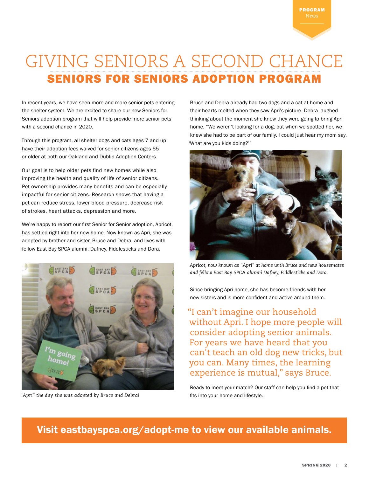# GIVING SENIORS A SECOND CHANCE SENIORS FOR SENIORS ADOPTION PROGRAM

In recent years, we have seen more and more senior pets entering the shelter system. We are excited to share our new Seniors for Seniors adoption program that will help provide more senior pets with a second chance in 2020.

Through this program, all shelter dogs and cats ages 7 and up have their adoption fees waived for senior citizens ages 65 or older at both our Oakland and Dublin Adoption Centers.

Our goal is to help older pets find new homes while also improving the health and quality of life of senior citizens. Pet ownership provides many benefits and can be especially impactful for senior citizens. Research shows that having a pet can reduce stress, lower blood pressure, decrease risk of strokes, heart attacks, depression and more.

We're happy to report our first Senior for Senior adoption, Apricot, has settled right into her new home. Now known as Apri, she was adopted by brother and sister, Bruce and Debra, and lives with fellow East Bay SPCA alumni, Dafney, Fiddlesticks and Dora.



"Apri" the day she was adopted by Bruce and Debra!<br> **Ref** is into your home and lifestyle.

Bruce and Debra already had two dogs and a cat at home and their hearts melted when they saw Apri's picture. Debra laughed thinking about the moment she knew they were going to bring Apri home, "We weren't looking for a dog, but when we spotted her, we knew she had to be part of our family. I could just hear my mom say, 'What are you kids doing?'"



*Apricot, now known as "Apri" at home with Bruce and new housemates and fellow East Bay SPCA alumni Dafney, Fiddlesticks and Dora.*

Since bringing Apri home, she has become friends with her new sisters and is more confident and active around them.

"I can't imagine our household without Apri. I hope more people will consider adopting senior animals. For years we have heard that you can't teach an old dog new tricks, but you can. Many times, the learning experience is mutual," says Bruce.

Ready to meet your match? Our staff can help you find a pet that

## Visit eastbayspca.org/adopt-me to view our available animals.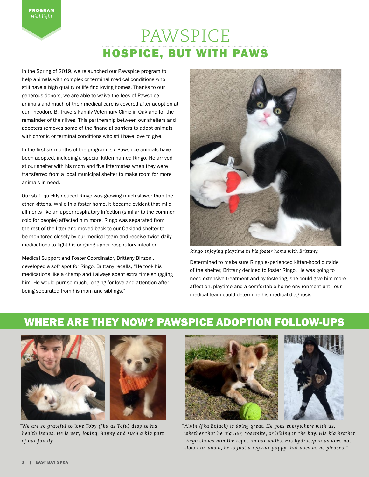# PAWSPICE HOSPICE, BUT WITH PAWS

In the Spring of 2019, we relaunched our Pawspice program to help animals with complex or terminal medical conditions who still have a high quality of life find loving homes. Thanks to our generous donors, we are able to waive the fees of Pawspice animals and much of their medical care is covered after adoption at our Theodore B. Travers Family Veterinary Clinic in Oakland for the remainder of their lives. This partnership between our shelters and adopters removes some of the financial barriers to adopt animals with chronic or terminal conditions who still have love to give.

In the first six months of the program, six Pawspice animals have been adopted, including a special kitten named Ringo. He arrived at our shelter with his mom and five littermates when they were transferred from a local municipal shelter to make room for more animals in need.

Our staff quickly noticed Ringo was growing much slower than the other kittens. While in a foster home, it became evident that mild ailments like an upper respiratory infection (similar to the common cold for people) affected him more. Ringo was separated from the rest of the litter and moved back to our Oakland shelter to be monitored closely by our medical team and receive twice daily medications to fight his ongoing upper respiratory infection.

Medical Support and Foster Coordinator, Brittany Binzoni, developed a soft spot for Ringo. Brittany recalls, "He took his medications like a champ and I always spent extra time snuggling him. He would purr so much, longing for love and attention after being separated from his mom and siblings."



*Ringo enjoying playtime in his foster home with Brittany.* 

Determined to make sure Ringo experienced kitten-hood outside of the shelter, Brittany decided to foster Ringo. He was going to need extensive treatment and by fostering, she could give him more affection, playtime and a comfortable home environment until our medical team could determine his medical diagnosis.

# WHERE ARE THEY NOW? PAWSPICE ADOPTION FOLLOW-UPS





*"We are so grateful to love Toby (f ka as Tofu) despite his health issues. He is very loving, happy and such a big part of our family."*





*"Alvin (f ka Bojack) is doing great. He goes everywhere with us, whether that be Big Sur, Yosemite, or hiking in the bay. His big brother Diego shows him the ropes on our walks. His hydrocephalus does not slow him down, he is just a regular puppy that does as he pleases."*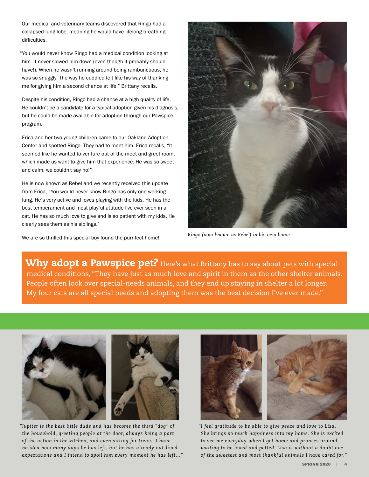Our medical and veterinary teams discovered that Ringo had a collapsed lung lobe, meaning he would have lifelong breathing difficulties.

"You would never know Ringo had a medical condition looking at him. It never slowed him down (even though it probably should have!). When he wasn't running around being rambunctious, he was so snuggly. The way he cuddled felt like his way of thanking me for giving him a second chance at life," Brittany recalls.

Despite his condition, Ringo had a chance at a high quality of life. He couldn't be a candidate for a typical adoption given his diagnosis, but he could be made available for adoption through our Pawspice program.

Erica and her two young children came to our Oakland Adoption Center and spotted Ringo. They had to meet him. Erica recalls, "It seemed like he wanted to venture out of the meet and greet room, which made us want to give him that experience. He was so sweet and calm, we couldn't say no!"

He is now known as Rebel and we recently received this update from Erica, "You would never know Ringo has only one working lung. He's very active and loves playing with the kids. He has the best temperament and most playful attitude I've ever seen in a cat. He has so much love to give and is so patient with my kids. He clearly sees them as his siblings."

We are so thrilled this special boy found the purr-fect home! *Ringo (now known as Rebel) in his new home.*



Why adopt a Pawspice pet? Here's what Brittany has to say about pets with special medical conditions, "They have just as much love and spirit in them as the other shelter animals. People often look over special-needs animals, and they end up staying in shelter a lot longer. My four cats are all special needs and adopting them was the best decision I've ever made."



*"Jupiter is the best little dude and has become the third "dog" of the household, greeting people at the door, always being a part of the action in the kitchen, and even sitting for treats. I have no idea how many days he has left, but he has already out-lived expectations and I intend to spoil him every moment he has left…"*



*"I feel gratitude to be able to give peace and love to Lisa. She brings so much happiness into my home. She is excited to see me everyday when I get home and prances around waiting to be loved and petted. Lisa is without a doubt one of the sweetest and most thankful animals I have cared for."*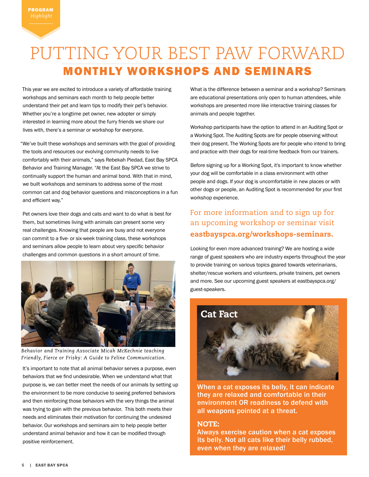# PUTTING YOUR BEST PAW FORWARD MONTHLY WORKSHOPS AND SEMINARS

This year we are excited to introduce a variety of affordable training workshops and seminars each month to help people better understand their pet and learn tips to modify their pet's behavior. Whether you're a longtime pet owner, new adopter or simply interested in learning more about the furry friends we share our lives with, there's a seminar or workshop for everyone.

"We've built these workshops and seminars with the goal of providing the tools and resources our evolving community needs to live comfortably with their animals," says Rebekah Piedad, East Bay SPCA Behavior and Training Manager. "At the East Bay SPCA we strive to continually support the human and animal bond. With that in mind, we built workshops and seminars to address some of the most common cat and dog behavior questions and misconceptions in a fun and efficient way."

Pet owners love their dogs and cats and want to do what is best for them, but sometimes living with animals can present some very real challenges. Knowing that people are busy and not everyone can commit to a five- or six-week training class, these workshops and seminars allow people to learn about very specific behavior challenges and common questions in a short amount of time.



*Behavior and Training Associate Micah McKechnie teaching Friendly, Fierce or Frisky: A Guide to Feline Communication.*

It's important to note that all animal behavior serves a purpose, even behaviors that we find undesirable. When we understand what that purpose is, we can better meet the needs of our animals by setting up the environment to be more conducive to seeing preferred behaviors and then reinforcing those behaviors with the very things the animal was trying to gain with the previous behavior. This both meets their needs and eliminates their motivation for continuing the undesired behavior. Our workshops and seminars aim to help people better understand animal behavior and how it can be modified through positive reinforcement.

What is the difference between a seminar and a workshop? Seminars are educational presentations only open to human attendees, while workshops are presented more like interactive training classes for animals and people together.

Workshop participants have the option to attend in an Auditing Spot or a Working Spot. The Auditing Spots are for people observing without their dog present. The Working Spots are for people who intend to bring and practice with their dogs for real-time feedback from our trainers.

Before signing up for a Working Spot, it's important to know whether your dog will be comfortable in a class environment with other people and dogs. If your dog is uncomfortable in new places or with other dogs or people, an Auditing Spot is recommended for your first workshop experience.

## For more information and to sign up for an upcoming workshop or seminar visit eastbayspca.org/workshops-seminars.

Looking for even more advanced training? We are hosting a wide range of guest speakers who are industry experts throughout the year to provide training on various topics geared towards veterinarians, shelter/rescue workers and volunteers, private trainers, pet owners and more. See our upcoming guest speakers at eastbayspca.org/ guest-speakers.



When a cat exposes its belly, it can indicate they are relaxed and comfortable in their environment OR readiness to defend with all weapons pointed at a threat.

#### NOTE:

Always exercise caution when a cat exposes its belly. Not all cats like their belly rubbed, even when they are relaxed!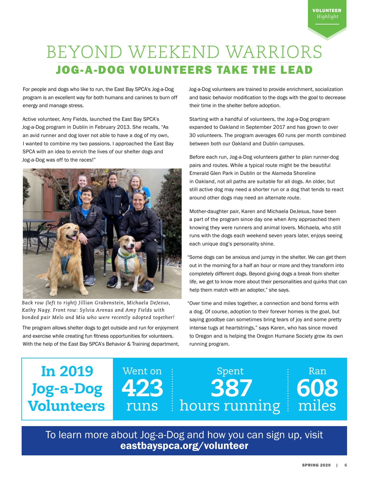# BEYOND WEEKEND WARRIORS JOG-A-DOG VOLUNTEERS TAKE THE LEAD

For people and dogs who like to run, the East Bay SPCA's Jog-a-Dog program is an excellent way for both humans and canines to burn off energy and manage stress.

Active volunteer, Amy Fields, launched the East Bay SPCA's Jog-a-Dog program in Dublin in February 2013. She recalls, "As an avid runner and dog lover not able to have a dog of my own, I wanted to combine my two passions. I approached the East Bay SPCA with an idea to enrich the lives of our shelter dogs and Jog-a-Dog was off to the races!"



*Back row (left to right) Jillian Grabenstein, Michaela DeJesus, Kathy Nagy. Front row: Sylvia Arenas and Amy Fields with bonded pair Melo and Mia who were recently adopted together!*

The program allows shelter dogs to get outside and run for enjoyment and exercise while creating fun fitness opportunities for volunteers. With the help of the East Bay SPCA's Behavior & Training department, Jog-a-Dog volunteers are trained to provide enrichment, socialization and basic behavior modification to the dogs with the goal to decrease their time in the shelter before adoption.

Starting with a handful of volunteers, the Jog-a-Dog program expanded to Oakland in September 2017 and has grown to over 30 volunteers. The program averages 60 runs per month combined between both our Oakland and Dublin campuses.

Before each run, Jog-a-Dog volunteers gather to plan runner-dog pairs and routes. While a typical route might be the beautiful Emerald Glen Park in Dublin or the Alameda Shoreline in Oakland, not all paths are suitable for all dogs. An older, but still active dog may need a shorter run or a dog that tends to react around other dogs may need an alternate route.

Mother-daughter pair, Karen and Michaela DeJesus, have been a part of the program since day one when Amy approached them knowing they were runners and animal lovers. Michaela, who still runs with the dogs each weekend seven years later, enjoys seeing each unique dog's personality shine.

"Some dogs can be anxious and jumpy in the shelter. We can get them out in the morning for a half an hour or more and they transform into completely different dogs. Beyond giving dogs a break from shelter life, we get to know more about their personalities and quirks that can help them match with an adopter," she says.

"Over time and miles together, a connection and bond forms with a dog. Of course, adoption to their forever homes is the goal, but saying goodbye can sometimes bring tears of joy and some pretty intense tugs at heartstrings," says Karen, who has since moved to Oregon and is helping the Oregon Humane Society grow its own running program.

# In 2019 Jog-a-Dog Volunteers

Went on 423 runs

387 hours running

Spent

To learn more about Jog-a-Dog and how you can sign up, visit eastbayspca.org/volunteer

Ran

608

miles